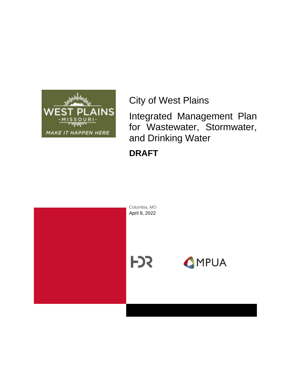

City of West Plains

Integrated Management Plan for Wastewater, Stormwater, and Drinking Water

**DRAFT**

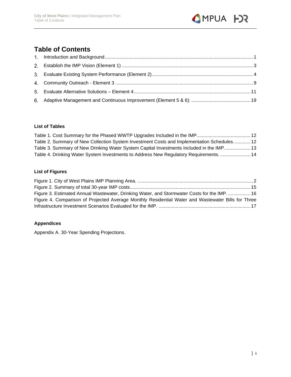

## **Table of Contents**

#### **List of Tables**

| Table 2. Summary of New Collection System Investment Costs and Implementation Schedules 12 |  |
|--------------------------------------------------------------------------------------------|--|
| Table 3. Summary of New Drinking Water System Capital Investments Included in the IMP 13   |  |
| Table 4. Drinking Water System Investments to Address New Regulatory Requirements.  14     |  |

#### **List of Figures**

| Figure 3. Estimated Annual Wastewater, Drinking Water, and Stormwater Costs for the IMP.  16       |  |
|----------------------------------------------------------------------------------------------------|--|
| Figure 4. Comparison of Projected Average Monthly Residential Water and Wastewater Bills for Three |  |
|                                                                                                    |  |

#### **Appendices**

Appendix A. 30-Year Spending Projections.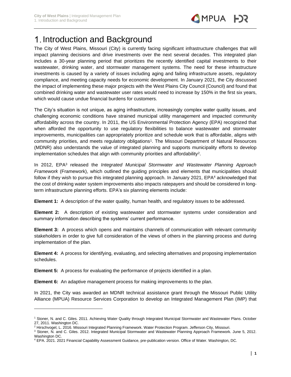

## <span id="page-2-0"></span>1. Introduction and Background

The City of West Plains, Missouri (City) is currently facing significant infrastructure challenges that will impact planning decisions and drive investments over the next several decades. This integrated plan includes a 30-year planning period that prioritizes the recently identified capital investments to their wastewater, drinking water, and stormwater management systems. The need for these infrastructure investments is caused by a variety of issues including aging and failing infrastructure assets, regulatory compliance, and meeting capacity needs for economic development. In January 2021, the City discussed the impact of implementing these major projects with the West Plains City Council (Council) and found that combined drinking water and wastewater user rates would need to increase by 150% in the first six years, which would cause undue financial burdens for customers.

The City's situation is not unique, as aging infrastructure, increasingly complex water quality issues, and challenging economic conditions have strained municipal utility management and impacted community affordability across the country. In 2011, the US Environmental Protection Agency (EPA) recognized that when afforded the opportunity to use regulatory flexibilities to balance wastewater and stormwater improvements, municipalities can appropriately prioritize and schedule work that is affordable, aligns with community priorities, and meets regulatory obligations<sup>1</sup>. The Missouri Department of Natural Resources (MDNR) also understands the value of integrated planning and supports municipality efforts to develop implementation schedules that align with community priorities and affordability<sup>2</sup>.

In 2012, EPA<sup>3</sup> released the *Integrated Municipal Stormwater and Wastewater Planning Approach Framework* (Framework), which outlined the guiding principles and elements that municipalities should follow if they wish to pursue this integrated planning approach. In January 2021, EPA<sup>4</sup> acknowledged that the cost of drinking water system improvements also impacts ratepayers and should be considered in longterm infrastructure planning efforts. EPA's six planning elements include:

**Element 1:** A description of the water quality, human health, and regulatory issues to be addressed.

**Element 2:** A description of existing wastewater and stormwater systems under consideration and summary information describing the systems' current performance.

**Element 3:** A process which opens and maintains channels of communication with relevant community stakeholders in order to give full consideration of the views of others in the planning process and during implementation of the plan.

**Element 4:** A process for identifying, evaluating, and selecting alternatives and proposing implementation schedules.

**Element 5:** A process for evaluating the performance of projects identified in a plan.

**Element 6:** An adaptive management process for making improvements to the plan.

In 2021, the City was awarded an MDNR technical assistance grant through the Missouri Public Utility Alliance (MPUA) Resource Services Corporation to develop an Integrated Management Plan (IMP) that

<sup>1</sup> Stoner, N. and C. Giles. 2011. Achieving Water Quality through Integrated Municipal Stormwater and Wastewater Plans. October 27, 2011. Washington DC.

<sup>&</sup>lt;sup>2</sup> Hirschvogel, L. 2016. Missouri Integrated Planning Framework. Water Protection Program. Jefferson City, Missouri.

<sup>3</sup> Stoner, N. and C. Giles. 2012. Integrated Municipal Stormwater and Wastewater Planning Approach Framework. June 5, 2012. Washington DC.

<sup>4</sup> EPA. 2021. 2021 Financial Capability Assessment Guidance, pre-publication version. Office of Water. Washington, DC.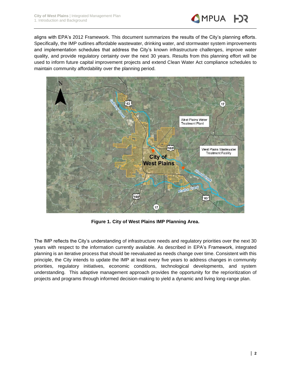

aligns with EPA's 2012 Framework. This document summarizes the results of the City's planning efforts. Specifically, the IMP outlines affordable wastewater, drinking water, and stormwater system improvements and implementation schedules that address the City's known infrastructure challenges, improve water quality, and provide regulatory certainty over the next 30 years. Results from this planning effort will be used to inform future capital improvement projects and extend Clean Water Act compliance schedules to maintain community affordability over the planning period.



**Figure 1. City of West Plains IMP Planning Area.**

<span id="page-3-0"></span>The IMP reflects the City's understanding of infrastructure needs and regulatory priorities over the next 30 years with respect to the information currently available. As described in EPA's Framework, integrated planning is an iterative process that should be reevaluated as needs change over time. Consistent with this principle, the City intends to update the IMP at least every five years to address changes in community priorities, regulatory initiatives, economic conditions, technological developments, and system understanding. This adaptive management approach provides the opportunity for the reprioritization of projects and programs through informed decision-making to yield a dynamic and living long-range plan.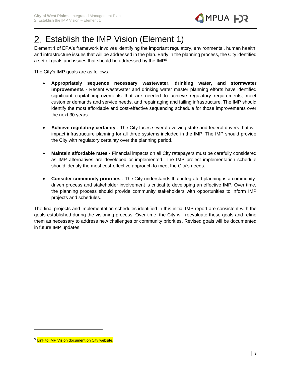

## <span id="page-4-0"></span>2. Establish the IMP Vision (Element 1)

Element 1 of EPA's framework involves identifying the important regulatory, environmental, human health, and infrastructure issues that will be addressed in the plan. Early in the planning process, the City identified a set of goals and issues that should be addressed by the IMP<sup>5</sup>.

The City's IMP goals are as follows:

- **Appropriately sequence necessary wastewater, drinking water, and stormwater improvements -** Recent wastewater and drinking water master planning efforts have identified significant capital improvements that are needed to achieve regulatory requirements, meet customer demands and service needs, and repair aging and failing infrastructure. The IMP should identify the most affordable and cost-effective sequencing schedule for those improvements over the next 30 years.
- **Achieve regulatory certainty -** The City faces several evolving state and federal drivers that will impact infrastructure planning for all three systems included in the IMP. The IMP should provide the City with regulatory certainty over the planning period.
- **Maintain affordable rates -** Financial impacts on all City ratepayers must be carefully considered as IMP alternatives are developed or implemented. The IMP project implementation schedule should identify the most cost-effective approach to meet the City's needs.
- **Consider community priorities -** The City understands that integrated planning is a communitydriven process and stakeholder involvement is critical to developing an effective IMP. Over time, the planning process should provide community stakeholders with opportunities to inform IMP projects and schedules.

The final projects and implementation schedules identified in this initial IMP report are consistent with the goals established during the visioning process. Over time, the City will reevaluate these goals and refine them as necessary to address new challenges or community priorities. Revised goals will be documented in future IMP updates.

<sup>&</sup>lt;sup>5</sup> Link to IMP Vision document on City website.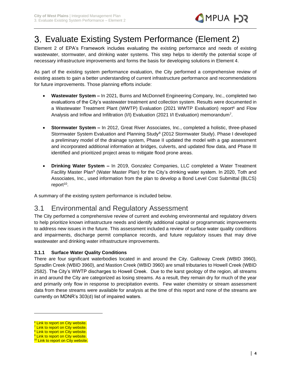

## <span id="page-5-0"></span>Evaluate Existing System Performance (Element 2)

Element 2 of EPA's Framework includes evaluating the existing performance and needs of existing wastewater, stormwater, and drinking water systems. This step helps to identify the potential scope of necessary infrastructure improvements and forms the basis for developing solutions in Element 4.

As part of the existing system performance evaluation, the City performed a comprehensive review of existing assets to gain a better understanding of current infrastructure performance and recommendations for future improvements. Those planning efforts include:

- **Wastewater System –** In 2021, Burns and McDonnell Engineering Company, Inc., completed two evaluations of the City's wastewater treatment and collection system. Results were documented in a Wastewater Treatment Plant (WWTP) Evaluation (2021 WWTP Evaluation) report<sup>6</sup> and Flow Analysis and Inflow and Infiltration (I/I) Evaluation (2021 I/I Evaluation) memorandum<sup>7</sup>.
- **Stormwater System –** In 2012, Great River Associates, Inc., completed a holistic, three-phased Stormwater System Evaluation and Planning Study<sup>8</sup> (2012 Stormwater Study). Phase I developed a preliminary model of the drainage system, Phase II updated the model with a gap assessment and incorporated additional information at bridges, culverts, and updated flow data, and Phase III identified and prioritized project areas to mitigate flood prone areas.
- **Drinking Water System –** In 2019, Gonzalez Companies, LLC completed a Water Treatment Facility Master Plan<sup>9</sup> (Water Master Plan) for the City's drinking water system. In 2020, Toth and Associates, Inc., used information from the plan to develop a Bond Level Cost Submittal (BLCS) report<sup>10</sup>.

A summary of the existing system performance is included below.

## 3.1 Environmental and Regulatory Assessment

The City performed a comprehensive review of current and evolving environmental and regulatory drivers to help prioritize known infrastructure needs and identify additional capital or programmatic improvements to address new issues in the future. This assessment included a review of surface water quality conditions and impairments, discharge permit compliance records, and future regulatory issues that may drive wastewater and drinking water infrastructure improvements.

#### **3.1.1 Surface Water Quality Conditions**

There are four significant waterbodies located in and around the City. Galloway Creek (WBID 3960), Spradlin Creek (WBID 3960), and Mastion Creek (WBID 3960) are small tributaries to Howell Creek (WBID 2582). The City's WWTP discharges to Howell Creek. Due to the karst geology of the region, all streams in and around the City are categorized as losing streams. As a result, they remain dry for much of the year and primarily only flow in response to precipitation events. Few water chemistry or stream assessment data from these streams were available for analysis at the time of this report and none of the streams are currently on MDNR's 303(d) list of impaired waters.

<sup>&</sup>lt;sup>6</sup> Link to report on City website.

<sup>&</sup>lt;sup>7</sup> Link to report on City website. <sup>8</sup> Link to report on City website.

<sup>&</sup>lt;sup>9</sup> Link to report on City website.

<sup>&</sup>lt;sup>10</sup> Link to report on City website.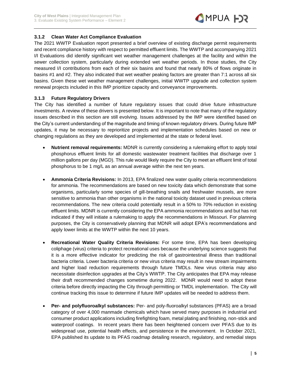

#### **3.1.2 Clean Water Act Compliance Evaluation**

The 2021 WWTP Evaluation report presented a brief overview of existing discharge permit requirements and recent compliance history with respect to permitted effluent limits. The WWTP and accompanying 2021 I/I Evaluations did identify significant wet weather management challenges at the facility and within the sewer collection system, particularly during extended wet weather periods. In those studies, the City measured I/I contributions from each of their six basins and found that nearly 80% of flows originate in basins #1 and #2. They also indicated that wet weather peaking factors are greater than 7:1 across all six basins. Given these wet weather management challenges, initial WWTP upgrade and collection system renewal projects included in this IMP prioritize capacity and conveyance improvements.

#### **3.1.3 Future Regulatory Drivers**

The City has identified a number of future regulatory issues that could drive future infrastructure investments. A review of these drivers is presented below. It is important to note that many of the regulatory issues described in this section are still evolving. Issues addressed by the IMP were identified based on the City's current understanding of the magnitude and timing of known regulatory drivers. During future IMP updates, it may be necessary to reprioritize projects and implementation schedules based on new or changing regulations as they are developed and implemented at the state or federal level.

- **Nutrient removal requirements:** MDNR is currently considering a rulemaking effort to apply total phosphorus effluent limits for all domestic wastewater treatment facilities that discharge over 1 million gallons per day (MGD). This rule would likely require the City to meet an effluent limit of total phosphorus to be 1 mg/L as an annual average within the next ten years.
- **Ammonia Criteria Revisions:** In 2013, EPA finalized new water quality criteria recommendations for ammonia. The recommendations are based on new toxicity data which demonstrate that some organisms, particularly some species of gill-breathing snails and freshwater mussels, are more sensitive to ammonia than other organisms in the national toxicity dataset used in previous criteria recommendations. The new criteria could potentially result in a 50% to 70% reduction in existing effluent limits. MDNR is currently considering the EPA ammonia recommendations and but has not indicated if they will initiate a rulemaking to apply the recommendations in Missouri. For planning purposes, the City is conservatively planning that MDNR will adopt EPA's recommendations and apply lower limits at the WWTP within the next 10 years.
- **Recreational Water Quality Criteria Revisions:** For some time, EPA has been developing coliphage (virus) criteria to protect recreational uses because the underlying science suggests that it is a more effective indicator for predicting the risk of gastrointestinal illness than traditional bacteria criteria. Lower bacteria criteria or new virus criteria may result in new stream impairments and higher load reduction requirements through future TMDLs. New virus criteria may also necessitate disinfection upgrades at the City's WWTP. The City anticipates that EPA may release their draft recommended changes sometime during 2022. MDNR would need to adopt these criteria before directly impacting the City through permitting or TMDL implementation. The City will continue tracking this issue to determine if future IMP updates will be needed to address them.
- **Per- and polyfluoroalkyl substances:** Per- and poly-fluoroalkyl substances (PFAS) are a broad category of over 4,000 manmade chemicals which have served many purposes in industrial and consumer product applications including firefighting foam, metal plating and finishing, non-stick and waterproof coatings. In recent years there has been heightened concern over PFAS due to its widespread use, potential health effects, and persistence in the environment. In October 2021, EPA published its update to its PFAS roadmap detailing research, regulatory, and remedial steps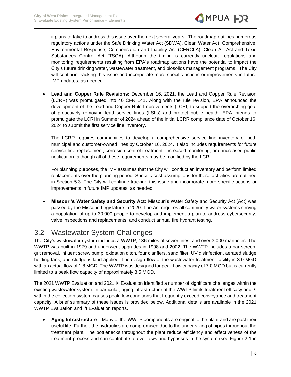

it plans to take to address this issue over the next several years. The roadmap outlines numerous regulatory actions under the Safe Drinking Water Act (SDWA), Clean Water Act, Comprehensive, Environmental Response, Compensation and Liability Act (CERCLA), Clean Air Act and Toxic Substances Control Act (TSCA). Although the timing is currently unclear, regulations and monitoring requirements resulting from EPA's roadmap actions have the potential to impact the City's future drinking water, wastewater treatment, and biosolids management programs. The City will continue tracking this issue and incorporate more specific actions or improvements in future IMP updates, as needed.

• **Lead and Copper Rule Revisions:** December 16, 2021, the Lead and Copper Rule Revision (LCRR) was promulgated into 40 CFR 141. Along with the rule revision, EPA announced the development of the Lead and Copper Rule Improvements (LCRI) to support the overarching goal of proactively removing lead service lines (LSLs) and protect public health. EPA intends to promulgate the LCRI in Summer of 2024 ahead of the initial LCRR compliance date of October 16, 2024 to submit the first service line inventory.

The LCRR requires communities to develop a comprehensive service line inventory of both municipal and customer-owned lines by October 16, 2024. It also includes requirements for future service line replacement, corrosion control treatment, increased monitoring, and increased public notification, although all of these requirements may be modified by the LCRI.

For planning purposes, the IMP assumes that the City will conduct an inventory and perform limited replacements over the planning period. Specific cost assumptions for these activities are outlined in Section 5.3. The City will continue tracking this issue and incorporate more specific actions or improvements in future IMP updates, as needed.

• **Missouri's Water Safety and Security Act:** Missouri's Water Safety and Security Act (Act) was passed by the Missouri Legislature in 2020. The Act requires all community water systems serving a population of up to 30,000 people to develop and implement a plan to address cybersecurity, valve inspections and replacements, and conduct annual fire hydrant testing.

## 3.2 Wastewater System Challenges

The City's wastewater system includes a WWTP, 136 miles of sewer lines, and over 3,000 manholes. The WWTP was built in 1979 and underwent upgrades in 1998 and 2002. The WWTP includes a bar screen, grit removal, influent screw pump, oxidation ditch, four clarifiers, sand filter, UV disinfection, aerated sludge holding tank, and sludge is land applied. The design flow of the wastewater treatment facility is 3.0 MGD with an actual flow of 1.8 MGD. The WWTP was designed for peak flow capacity of 7.0 MGD but is currently limited to a peak flow capacity of approximately 3.5 MGD.

The 2021 WWTP Evaluation and 2021 I/I Evaluation identified a number of significant challenges within the existing wastewater system. In particular, aging infrastructure at the WWTP limits treatment efficacy and I/I within the collection system causes peak flow conditions that frequently exceed conveyance and treatment capacity. A brief summary of these issues is provided below. Additional details are available in the 2021 WWTP Evaluation and I/I Evaluation reports.

• **Aging Infrastructure –** Many of the WWTP components are original to the plant and are past their useful life. Further, the hydraulics are compromised due to the under sizing of pipes throughout the treatment plant. The bottlenecks throughout the plant reduce efficiency and effectiveness of the treatment process and can contribute to overflows and bypasses in the system (see Figure 2-1 in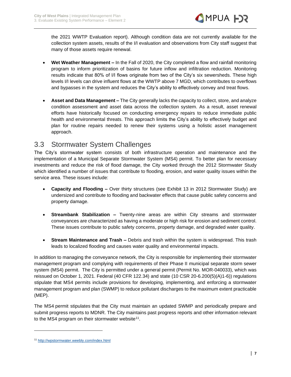

the 2021 WWTP Evaluation report). Although condition data are not currently available for the collection system assets, results of the I/I evaluation and observations from City staff suggest that many of those assets require renewal.

- **Wet Weather Management –** In the Fall of 2020, the City completed a flow and rainfall monitoring program to inform prioritization of basins for future inflow and infiltration reduction. Monitoring results indicate that 80% of I/I flows originate from two of the City's six sewersheds. These high levels I/I levels can drive influent flows at the WWTP above 7 MGD, which contributes to overflows and bypasses in the system and reduces the City's ability to effectively convey and treat flows.
- **Asset and Data Management –** The City generally lacks the capacity to collect, store, and analyze condition assessment and asset data across the collection system. As a result, asset renewal efforts have historically focused on conducting emergency repairs to reduce immediate public health and environmental threats. This approach limits the City's ability to effectively budget and plan for routine repairs needed to renew their systems using a holistic asset management approach.

### 3.3 Stormwater System Challenges

The City's stormwater system consists of both infrastructure operation and maintenance and the implementation of a Municipal Separate Stormwater System (MS4) permit. To better plan for necessary investments and reduce the risk of flood damage, the City worked through the 2012 Stormwater Study which identified a number of issues that contribute to flooding, erosion, and water quality issues within the service area. These issues include:

- **Capacity and Flooding –** Over thirty structures (see Exhibit 13 in 2012 Stormwater Study) are undersized and contribute to flooding and backwater effects that cause public safety concerns and property damage.
- **Streambank Stabilization –** Twenty-nine areas are within City streams and stormwater conveyances are characterized as having a moderate or high risk for erosion and sediment control. These issues contribute to public safety concerns, property damage, and degraded water quality.
- **Stream Maintenance and Trash –** Debris and trash within the system is widespread. This trash leads to localized flooding and causes water quality and environmental impacts.

In addition to managing the conveyance network, the City is responsible for implementing their stormwater management program and complying with requirements of their Phase II municipal separate storm sewer system (MS4) permit. The City is permitted under a general permit (Permit No. MOR-040033), which was reissued on October 1, 2021. Federal (40 CFR 122.34) and state (10 CSR 20-6.200(5)(A)1-6)) regulations stipulate that MS4 permits include provisions for developing, implementing, and enforcing a stormwater management program and plan (SWMP) to reduce pollutant discharges to the maximum extent practicable (MEP).

The MS4 permit stipulates that the City must maintain an updated SWMP and periodically prepare and submit progress reports to MDNR. The City maintains past progress reports and other information relevant to the MS4 program on their stormwater website<sup>11</sup>.

<sup>11</sup> <http://wpstormwater.weebly.com/index.html>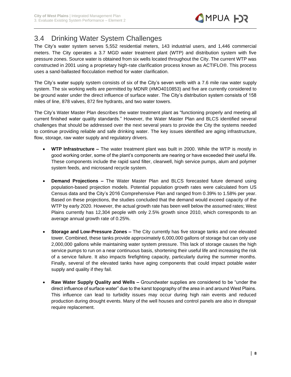

## 3.4 Drinking Water System Challenges

The City's water system serves 5,552 residential meters, 143 industrial users, and 1,446 commercial meters. The City operates a 3.7 MGD water treatment plant (WTP) and distribution system with five pressure zones. Source water is obtained from six wells located throughout the City. The current WTP was constructed in 2001 using a proprietary high-rate clarification process known as ACTIFLO®. This process uses a sand-ballasted flocculation method for water clarification.

The City's water supply system consists of six of the City's seven wells with a 7.6 mile raw water supply system. The six working wells are permitted by MDNR (#MO4010853) and five are currently considered to be ground water under the direct influence of surface water. The City's distribution system consists of 158 miles of line, 878 valves, 872 fire hydrants, and two water towers.

The City's Water Master Plan describes the water treatment plant as "functioning properly and meeting all current finished water quality standards." However, the Water Master Plan and BLCS identified several challenges that should be addressed over the next several years to provide the City the systems needed to continue providing reliable and safe drinking water. The key issues identified are aging infrastructure, flow, storage, raw water supply and regulatory drivers.

- **WTP Infrastructure –** The water treatment plant was built in 2000. While the WTP is mostly in good working order, some of the plant's components are nearing or have exceeded their useful life. These components include the rapid sand filter, clearwell, high service pumps, alum and polymer system feeds, and microsand recycle system.
- **Demand Projections –** The Water Master Plan and BLCS forecasted future demand using population-based projection models. Potential population growth rates were calculated from US Census data and the City's 2016 Comprehensive Plan and ranged from 0.39% to 1.58% per year. Based on these projections, the studies concluded that the demand would exceed capacity of the WTP by early 2020. However, the actual growth rate has been well below the assumed rates; West Plains currently has 12,304 people with only 2.5% growth since 2010, which corresponds to an average annual growth rate of 0.25%.
- **Storage and Low-Pressure Zones –** The City currently has five storage tanks and one elevated tower. Combined, these tanks provide approximately 6,000,000 gallons of storage but can only use 2,000,000 gallons while maintaining water system pressure. This lack of storage causes the high service pumps to run on a near continuous basis, shortening their useful life and increasing the risk of a service failure. It also impacts firefighting capacity, particularly during the summer months. Finally, several of the elevated tanks have aging components that could impact potable water supply and quality if they fail.
- **Raw Water Supply Quality and Wells –** Groundwater supplies are considered to be "under the direct influence of surface water" due to the karst topography of the area in and around West Plains. This influence can lead to turbidity issues may occur during high rain events and reduced production during drought events. Many of the well houses and control panels are also in disrepair require replacement.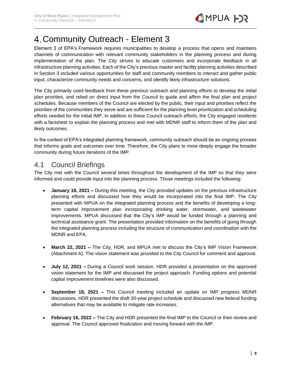

## <span id="page-10-0"></span>Community Outreach - Element 3

Element 3 of EPA's Framework requires municipalities to develop a process that opens and maintains channels of communication with relevant community stakeholders in the planning process and during implementation of the plan. The City strives to educate customers and incorporate feedback in all infrastructure planning activities. Each of the City's previous master and facility planning activities described in Section 3 included various opportunities for staff and community members to interact and gather public input, characterize community needs and concerns, and identify likely infrastructure solutions.

The City primarily used feedback from these previous outreach and planning efforts to develop the initial plan priorities, and relied on direct input from the Council to guide and affirm the final plan and project schedules. Because members of the Council are elected by the public, their input and priorities reflect the priorities of the communities they serve and are sufficient for the planning level prioritization and scheduling efforts needed for the initial IMP. In addition to these Council outreach efforts, the City engaged residents with a factsheet to explain the planning process and met with MDNR staff to inform them of the plan and likely outcomes.

In the context of EPA's integrated planning framework, community outreach should be an ongoing process that informs goals and outcomes over time. Therefore, the City plans to more deeply engage the broader community during future iterations of the IMP.

### 4.1 Council Briefings

The City met with the Council several times throughout the development of the IMP so that they were informed and could provide input into the planning process. Those meetings included the following:

- **January 18, 2021 –** During this meeting, the City provided updates on the previous infrastructure planning efforts and discussed how they would be incorporated into the final IMP. The City presented with MPUA on the integrated planning process and the benefits of developing a longterm capital improvement plan incorporating drinking water, stormwater, and wastewater improvements. MPUA discussed that the City's IMP would be funded through a planning and technical assistance grant. The presentation provided information on the benefits of going through the integrated planning process including the structure of communication and coordination with the MDNR and EPA.
- **March 22, 2021 –** The City, HDR, and MPUA met to discuss the City's IMP Vision Framework (Attachment A). The vision statement was provided to the City Council for comment and approval.
- **July 12, 2021 –** During a Council work session, HDR provided a presentation on the approved vision statement for the IMP and discussed the project approach. Funding options and potential capital improvement timelines were also discussed.
- **September 18, 2021 –** This Council meeting included an update on IMP progress MDNR discussions. HDR presented the draft 30-year project schedule and discussed new federal funding alternatives that may be available to mitigate rate increases.
- **February 16, 2022 –** The City and HDR presented the final IMP to the Council or their review and approval. The Council approved finalization and moving forward with the IMP.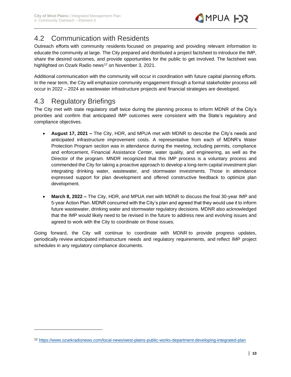## 4.2 Communication with Residents

Outreach efforts with community residents focused on preparing and providing relevant information to educate the community at large. The City prepared and distributed a project factsheet to introduce the IMP, share the desired outcomes, and provide opportunities for the public to get involved. The factsheet was highlighted on Ozark Radio news<sup>12</sup> on November 3, 2021.

Additional communication with the community will occur in coordination with future capital planning efforts. In the near term, the City will emphasize community engagement through a formal stakeholder process will occur in 2022 – 2024 as wastewater infrastructure projects and financial strategies are developed.

### 4.3 Regulatory Briefings

The City met with state regulatory staff twice during the planning process to inform MDNR of the City's priorities and confirm that anticipated IMP outcomes were consistent with the State's regulatory and compliance objectives.

- **August 17, 2021 –** The City, HDR, and MPUA met with MDNR to describe the City's needs and anticipated infrastructure improvement costs. A representative from each of MDNR's Water Protection Program section was in attendance during the meeting, including permits, compliance and enforcement, Financial Assistance Center, water quality, and engineering, as well as the Director of the program. MNDR recognized that this IMP process is a voluntary process and commended the City for taking a proactive approach to develop a long-term capital investment plan integrating drinking water, wastewater, and stormwater investments. Those in attendance expressed support for plan development and offered constructive feedback to optimize plan development.
- **March 8, 2022 –** The City, HDR, and MPUA met with MDNR to discuss the final 30-year IMP and 5-year Action Plan. MDNR concurred with the City's plan and agreed that they would use it to inform future wastewater, drinking water and stormwater regulatory decisions. MDNR also acknowledged that the IMP would likely need to be revised in the future to address new and evolving issues and agreed to work with the City to coordinate on those issues.

Going forward, the City will continue to coordinate with MDNR to provide progress updates, periodically review anticipated infrastructure needs and regulatory requirements, and reflect IMP project schedules in any regulatory compliance documents.

<sup>12</sup> <https://www.ozarkradionews.com/local-news/west-plains-public-works-department-developing-integrated-plan>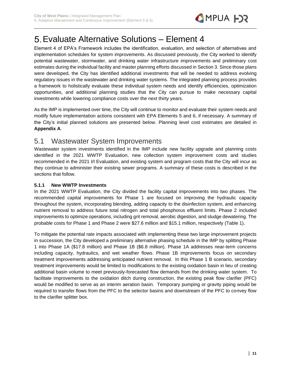

## <span id="page-12-0"></span>Evaluate Alternative Solutions – Element 4

Element 4 of EPA's Framework includes the identification, evaluation, and selection of alternatives and implementation schedules for system improvements. As discussed previously, the City worked to identify potential wastewater, stormwater, and drinking water infrastructure improvements and preliminary cost estimates during the individual facility and master planning efforts discussed in Section 3. Since those plans were developed, the City has identified additional investments that will be needed to address evolving regulatory issues in the wastewater and drinking water systems. The integrated planning process provides a framework to holistically evaluate these individual system needs and identify efficiencies, optimization opportunities, and additional planning studies that the City can pursue to make necessary capital investments while lowering compliance costs over the next thirty years.

As the IMP is implemented over time, the City will continue to monitor and evaluate their system needs and modify future implementation actions consistent with EPA Elements 5 and 6, if necessary. A summary of the City's initial planned solutions are presented below. Planning level cost estimates are detailed in **Appendix A**.

### 5.1 Wastewater System Improvements

Wastewater system investments identified in the IMP include new facility upgrade and planning costs identified in the 2021 WWTP Evaluation, new collection system improvement costs and studies recommended in the 2021 I/I Evaluation, and existing system and program costs that the City will incur as they continue to administer their existing sewer programs. A summary of these costs is described in the sections that follow.

#### **5.1.1 New WWTP Investments**

In the 2021 WWTP Evaluation, the City divided the facility capital improvements into two phases. The recommended capital improvements for Phase 1 are focused on improving the hydraulic capacity throughout the system, incorporating blending, adding capacity to the disinfection system, and enhancing nutrient removal to address future total nitrogen and total phosphorus effluent limits. Phase 2 included improvements to optimize operations, including grit removal, aerobic digestion, and sludge dewatering. The probable costs for Phase 1 and Phase 2 were \$27.6 million and \$15.1 million, respectively [\(Table 1\)](#page-13-0).

To mitigate the potential rate impacts associated with implementing these two large improvement projects in succession, the City developed a preliminary alternative phasing schedule in the IMP by splitting Phase 1 into Phase 1A (\$17.8 million) and Phase 1B (\$6.8 million). Phase 1A addresses near-term concerns including capacity, hydraulics, and wet weather flows. Phase 1B improvements focus on secondary treatment improvements addressing anticipated nutrient removal. In this Phase 1 B scenario, secondary treatment improvements would be limited to modifications to the existing oxidation basin in lieu of creating additional basin volume to meet previously-forecasted flow demands from the drinking water system. To facilitate improvements to the oxidation ditch during construction, the existing peak flow clarifier (PFC) would be modified to serve as an interim aeration basin. Temporary pumping or gravity piping would be required to transfer flows from the PFC to the selector basins and downstream of the PFC to convey flow to the clarifier splitter box.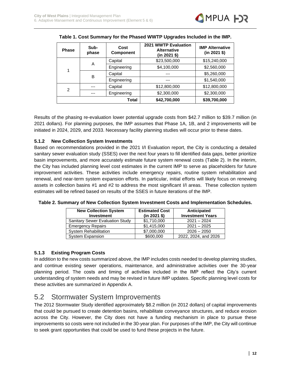<span id="page-13-0"></span>

| <b>Phase</b> | Sub-<br>phase | Cost<br><b>Component</b> | 2021 WWTP Evaluation<br><b>Alternative</b><br>(in 2021 \$) | <b>IMP Alternative</b><br>$(in 2021$ \$) |
|--------------|---------------|--------------------------|------------------------------------------------------------|------------------------------------------|
|              | A             | Capital                  | \$23,500,000                                               | \$15,240,000                             |
| 1            |               | Engineering              | \$4,100,000                                                | \$2,560,000                              |
|              | B             | Capital                  | ---                                                        | \$5,260,000                              |
|              |               | Engineering              |                                                            | \$1,540,000                              |
| 2            |               | Capital                  | \$12,800,000                                               | \$12,800,000                             |
|              |               | Engineering              | \$2,300,000                                                | \$2,300,000                              |
|              |               | Total                    | \$42,700,000                                               | \$39,700,000                             |

|  |  | Table 1. Cost Summary for the Phased WWTP Upgrades Included in the IMP. |
|--|--|-------------------------------------------------------------------------|
|  |  |                                                                         |

Results of the phasing re-evaluation lower potential upgrade costs from \$42.7 million to \$39.7 million (in 2021 dollars). For planning purposes, the IMP assumes that Phase 1A, 1B, and 2 improvements will be initiated in 2024, 2029, and 2033. Necessary facility planning studies will occur prior to these dates.

#### **5.1.2 New Collection System Investments**

Based on recommendations provided in the 2021 I/I Evaluation report, the City is conducting a detailed sanitary sewer evaluation study (SSES) over the next four years to fill identified data gaps, better prioritize basin improvements, and more accurately estimate future system renewal costs [\(Table 2\)](#page-13-1). In the interim, the City has included planning level cost estimates in the current IMP to serve as placeholders for future improvement activities. These activities include emergency repairs, routine system rehabilitation and renewal, and near-term system expansion efforts. In particular, initial efforts will likely focus on renewing assets in collection basins #1 and #2 to address the most significant I/I areas. These collection system estimates will be refined based on results of the SSES in future iterations of the IMP.

| <b>New Collection System</b><br><b>Investment</b> | <b>Estimated Cost</b><br>$(in 2021$ \$) | Anticipated<br><b>Investment Years</b> |
|---------------------------------------------------|-----------------------------------------|----------------------------------------|
| <b>Sanitary Sewer Evaluation Study</b>            | \$1,710,000                             | $2021 - 2024$                          |
| <b>Emergency Repairs</b>                          | \$1,415,000                             | $2021 - 2025$                          |
| <b>System Rehabilitation</b>                      | \$7,000,000                             | $2026 - 2050$                          |
| <b>System Expansion</b>                           | \$600,000                               | 2022, 2024, and 2026                   |

<span id="page-13-1"></span>

| Table 2. Summary of New Collection System Investment Costs and Implementation Schedules. |  |  |
|------------------------------------------------------------------------------------------|--|--|
|------------------------------------------------------------------------------------------|--|--|

#### **5.1.3 Existing Program Costs**

In addition to the new costs summarized above, the IMP includes costs needed to develop planning studies, and continue existing sewer operations, maintenance, and administrative activities over the 30-year planning period. The costs and timing of activities included in the IMP reflect the City's current understanding of system needs and may be revised in future IMP updates. Specific planning level costs for these activities are summarized in Appendix A.

## 5.2 Stormwater System Improvements

The 2012 Stormwater Study identified approximately \$8.2 million (in 2012 dollars) of capital improvements that could be pursued to create detention basins, rehabilitate conveyance structures, and reduce erosion across the City. However, the City does not have a funding mechanism in place to pursue these improvements so costs were not included in the 30-year plan. For purposes of the IMP, the City will continue to seek grant opportunities that could be used to fund these projects in the future.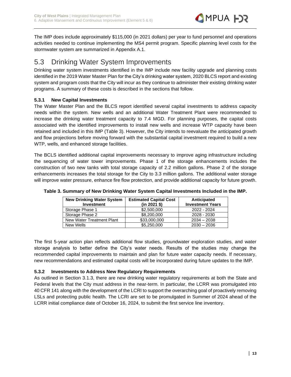

The IMP does include approximately \$115,000 (in 2021 dollars) per year to fund personnel and operations activities needed to continue implementing the MS4 permit program. Specific planning level costs for the stormwater system are summarized in Appendix A.1.

### 5.3 Drinking Water System Improvements

Drinking water system investments identified in the IMP include new facility upgrade and planning costs identified in the 2019 Water Master Plan for the City's drinking water system, 2020 BLCS report and existing system and program costs that the City will incur as they continue to administer their existing drinking water programs. A summary of these costs is described in the sections that follow.

#### **5.3.1 New Capital Investments**

The Water Master Plan and the BLCS report identified several capital investments to address capacity needs within the system. New wells and an additional Water Treatment Plant were recommended to increase the drinking water treatment capacity to 7.4 MGD. For planning purposes, the capital costs associated with the identified improvements to install new wells and increase WTP capacity have been retained and included in this IMP [\(Table 3\)](#page-14-0). However, the City intends to reevaluate the anticipated growth and flow projections before moving forward with the substantial capital investment required to build a new WTP, wells, and enhanced storage facilities.

The BCLS identified additional capital improvements necessary to improve aging infrastructure including the sequencing of water tower improvements. Phase 1 of the storage enhancements includes the construction of two new tanks with total storage capacity of 2.2 million gallons. Phase 2 of the storage enhancements increases the total storage for the City to 3.3 million gallons. The additional water storage will improve water pressure, enhance fire flow protection, and provide additional capacity for future growth.

| <b>New Drinking Water System</b><br><b>Investment</b> | <b>Estimated Capital Cost</b><br>$(in 2021$ \$) | Anticipated<br><b>Investment Years</b> |
|-------------------------------------------------------|-------------------------------------------------|----------------------------------------|
| Storage Phase 1                                       | \$2,500,000                                     | 2022 - 2024                            |
| Storage Phase 2                                       | \$8,200,000                                     | 2028 - 2030                            |
| New Water Treatment Plant                             | \$33,000,000                                    | $2034 - 2038$                          |
| New Wells                                             | \$5,250,000                                     | $2030 - 2036$                          |

<span id="page-14-0"></span>**Table 3. Summary of New Drinking Water System Capital Investments Included in the IMP.**

The first 5-year action plan reflects additional flow studies, groundwater exploration studies, and water storage analysis to better define the City's water needs. Results of the studies may change the recommended capital improvements to maintain and plan for future water capacity needs. If necessary, new recommendations and estimated capital costs will be incorporated during future updates to the IMP.

#### **5.3.2 Investments to Address New Regulatory Requirements**

As outlined in Section 3.1.3, there are new drinking water regulatory requirements at both the State and Federal levels that the City must address in the near-term. In particular, the LCRR was promulgated into 40 CFR 141 along with the development of the LCRI to support the overarching goal of proactively removing LSLs and protecting public health. The LCRI are set to be promulgated in Summer of 2024 ahead of the LCRR initial compliance date of October 16, 2024, to submit the first service line inventory.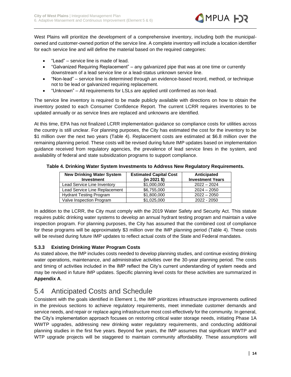

West Plains will prioritize the development of a comprehensive inventory, including both the municipalowned and customer-owned portion of the service line. A complete inventory will include a location identifier for each service line and will define the material based on the required categories:

- "Lead" service line is made of lead.
- "Galvanized Requiring Replacement" any galvanized pipe that was at one time or currently downstream of a lead service line or a lead-status unknown service line.
- "Non-lead" service line is determined through an evidence-based record, method, or technique not to be lead or galvanized requiring replacement.
- "Unknown" All requirements for LSLs are applied until confirmed as non-lead.

The service line inventory is required to be made publicly available with directions on how to obtain the inventory posted to each Consumer Confidence Report. The current LCRR requires inventories to be updated annually or as service lines are replaced and unknowns are identified.

At this time, EPA has not finalized LCRR implementation guidance so compliance costs for utilities across the country is still unclear. For planning purposes, the City has estimated the cost for the inventory to be \$1 million over the next two years [\(Table 4\)](#page-15-0). Replacement costs are estimated at \$6.8 million over the remaining planning period. These costs will be revised during future IMP updates based on implementation guidance received from regulatory agencies, the prevalence of lead service lines in the system, and availability of federal and state subsidization programs to support compliance.

<span id="page-15-0"></span>

| Table 4. Drinking Water System Investments to Address New Regulatory Requirements. |  |  |  |
|------------------------------------------------------------------------------------|--|--|--|
|                                                                                    |  |  |  |

| <b>New Drinking Water System</b><br><b>Investment</b> | <b>Estimated Capital Cost</b><br>$(in 2021$ \$) | Anticipated<br><b>Investment Years</b> |
|-------------------------------------------------------|-------------------------------------------------|----------------------------------------|
| Lead Service Line Inventory                           | \$1,000,000                                     | $2022 - 2024$                          |
| Lead Service Line Replacement                         | \$6,755,000                                     | $2024 - 2050$                          |
| <b>Hydrant Testing Program</b>                        | \$1,800,000                                     | $2022 - 2050$                          |
| Valve Inspection Program                              | \$1,025,000                                     | 2022 - 2050                            |

In addition to the LCRR, the City must comply with the 2019 Water Safety and Security Act. This statute requires public drinking water systems to develop an annual hydrant testing program and maintain a valve inspection program. For planning purposes, the City has assumed that the combined cost of compliance for these programs will be approximately \$3 million over the IMP planning period [\(Table 4\)](#page-15-0). These costs will be revised during future IMP updates to reflect actual costs of the State and Federal mandates.

#### **5.3.3 Existing Drinking Water Program Costs**

As stated above, the IMP includes costs needed to develop planning studies, and continue existing drinking water operations, maintenance, and administrative activities over the 30-year planning period. The costs and timing of activities included in the IMP reflect the City's current understanding of system needs and may be revised in future IMP updates. Specific planning level costs for these activities are summarized in **Appendix A**.

### 5.4 Anticipated Costs and Schedule

Consistent with the goals identified in Element 1, the IMP prioritizes infrastructure improvements outlined in the previous sections to achieve regulatory requirements, meet immediate customer demands and service needs, and repair or replace aging infrastructure most cost-effectively for the community. In general, the City's implementation approach focuses on restoring critical water storage needs, initiating Phase 1A WWTP upgrades, addressing new drinking water regulatory requirements, and conducting additional planning studies in the first five years. Beyond five years, the IMP assumes that significant WWTP and WTP upgrade projects will be staggered to maintain community affordability. These assumptions will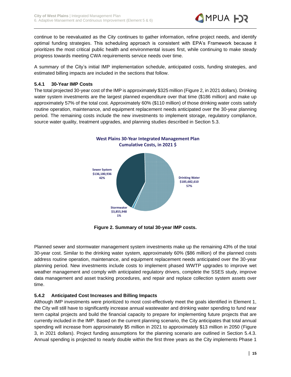

continue to be reevaluated as the City continues to gather information, refine project needs, and identify optimal funding strategies. This scheduling approach is consistent with EPA's Framework because it prioritizes the most critical public health and environmental issues first, while continuing to make steady progress towards meeting CWA requirements service needs over time.

A summary of the City's initial IMP implementation schedule, anticipated costs, funding strategies, and estimated billing impacts are included in the sections that follow.

#### **5.4.1 30-Year IMP Costs**

The total projected 30-year cost of the IMP is approximately \$325 million [\(Figure 2,](#page-16-0) in 2021 dollars). Drinking water system investments are the largest planned expenditure over that time (\$186 million) and make up approximately 57% of the total cost. Approximately 60% (\$110 million) of those drinking water costs satisfy routine operation, maintenance, and equipment replacement needs anticipated over the 30-year planning period. The remaining costs include the new investments to implement storage, regulatory compliance, source water quality, treatment upgrades, and planning studies described in Section 5.3.



**Figure 2. Summary of total 30-year IMP costs.**

<span id="page-16-0"></span>Planned sewer and stormwater management system investments make up the remaining 43% of the total 30-year cost. Similar to the drinking water system, approximately 60% (\$86 million) of the planned costs address routine operation, maintenance, and equipment replacement needs anticipated over the 30-year planning period. New investments include costs to implement phased WWTP upgrades to improve wet weather management and comply with anticipated regulatory drivers, complete the SSES study, improve data management and asset tracking procedures, and repair and replace collection system assets over time.

#### **5.4.2 Anticipated Cost Increases and Billing Impacts**

Although IMP investments were prioritized to most cost-effectively meet the goals identified in Element 1, the City will still have to significantly increase annual wastewater and drinking water spending to fund near term capital projects and build the financial capacity to prepare for implementing future projects that are currently included in the IMP. Based on the current planning scenario, the City anticipates that total annual spending will increase from approximately \$5 million in 2021 to approximately \$13 million in 2050 [\(Figure](#page-17-0)  [3,](#page-17-0) in 2021 dollars). Project funding assumptions for the planning scenario are outlined in Section 5.4.3. Annual spending is projected to nearly double within the first three years as the City implements Phase 1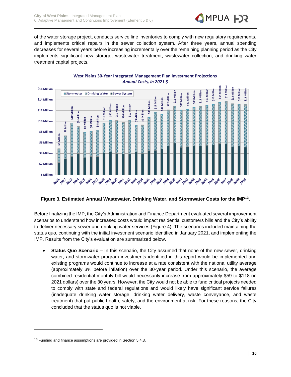

of the water storage project, conducts service line inventories to comply with new regulatory requirements, and implements critical repairs in the sewer collection system. After three years, annual spending decreases for several years before increasing incrementally over the remaining planning period as the City implements significant new storage, wastewater treatment, wastewater collection, and drinking water treatment capital projects.



#### <span id="page-17-0"></span>**Figure 3. Estimated Annual Wastewater, Drinking Water, and Stormwater Costs for the IMP<sup>13</sup> .**

Before finalizing the IMP, the City's Administration and Finance Department evaluated several improvement scenarios to understand how increased costs would impact residential customers bills and the City's ability to deliver necessary sewer and drinking water services [\(Figure 4\)](#page-18-0). The scenarios included maintaining the status quo, continuing with the initial investment scenario identified in January 2021, and implementing the IMP. Results from the City's evaluation are summarized below.

• **Status Quo Scenario –** In this scenario, the City assumed that none of the new sewer, drinking water, and stormwater program investments identified in this report would be implemented and existing programs would continue to increase at a rate consistent with the national utility average (approximately 3% before inflation) over the 30-year period. Under this scenario, the average combined residential monthly bill would necessarily increase from approximately \$59 to \$118 (in 2021 dollars) over the 30 years. However, the City would not be able to fund critical projects needed to comply with state and federal regulations and would likely have significant service failures (inadequate drinking water storage, drinking water delivery, waste conveyance, and waste treatment) that put public health, safety, and the environment at risk. For these reasons, the City concluded that the status quo is not viable.

<sup>&</sup>lt;sup>13</sup> Funding and finance assumptions are provided in Section 5.4.3.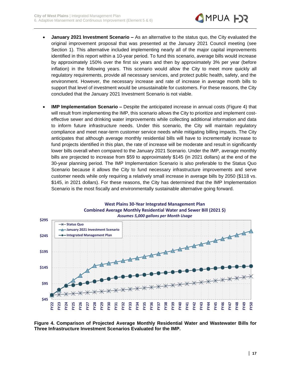

- **January 2021 Investment Scenario –** As an alternative to the status quo, the City evaluated the original improvement proposal that was presented at the January 2021 Council meeting (see Section 1). This alternative included implementing nearly all of the major capital improvements identified in this report within a 10-year period. To fund this scenario, average bills would increase by approximately 150% over the first six years and then by approximately 3% per year (before inflation) in the following years. This scenario would allow the City to meet more quickly all regulatory requirements, provide all necessary services, and protect public health, safety, and the environment. However, the necessary increase and rate of increase in average month bills to support that level of investment would be unsustainable for customers. For these reasons, the City concluded that the January 2021 Investment Scenario is not viable.
- **IMP Implementation Scenario** Despite the anticipated increase in annual costs (Figure 4) that will result from implementing the IMP, this scenario allows the City to prioritize and implement costeffective sewer and drinking water improvements while collecting additional information and data to inform future infrastructure needs. Under this scenario, the City will maintain regulatory compliance and meet near-term customer service needs while mitigating billing impacts. The City anticipates that although average monthly residential bills will have to incrementally increase to fund projects identified in this plan, the rate of increase will be moderate and result in significantly lower bills overall when compared to the January 2021 Scenario. Under the IMP, average monthly bills are projected to increase from \$59 to approximately \$145 (in 2021 dollars) at the end of the 30-year planning period. The IMP Implementation Scenario is also preferable to the Status Quo Scenario because it allows the City to fund necessary infrastructure improvements and serve customer needs while only requiring a relatively small increase in average bills by 2050 (\$118 vs. \$145, in 2021 dollars). For these reasons, the City has determined that the IMP Implementation Scenario is the most fiscally and environmentally sustainable alternative going forward.



**West Plains 30-Year Integrated Management Plan Combined Average Monthly Residential Water and Sewer Bill (2021 \$)**

<span id="page-18-0"></span>**Figure 4. Comparison of Projected Average Monthly Residential Water and Wastewater Bills for Three Infrastructure Investment Scenarios Evaluated for the IMP.**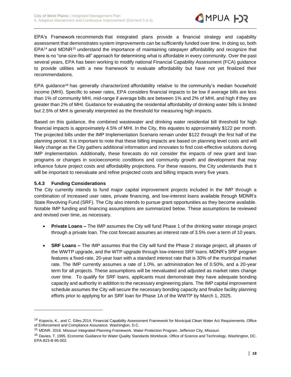

EPA's Framework recommends that integrated plans provide a financial strategy and capability assessment that demonstrates system improvements can be sufficiently funded over time. In doing so, both EPA<sup>14</sup> and MDNR<sup>15</sup> understand the importance of maintaining ratepayer affordability and recognize that there is no "one-size-fits-all" approach for determining what is affordable in every community. Over the past several years, EPA has been working to modify national Financial Capability Assessment (FCA) guidance to provide utilities with a new framework to evaluate affordability but have not yet finalized their recommendations.

EPA guidance<sup>16</sup> has generally characterized affordability relative to the community's median household income (MHI). Specific to sewer rates, EPA considers financial impacts to be low if average bills are less than 1% of community MHI, mid-range if average bills are between 1% and 2% of MHI, and high if they are greater than 2% of MHI. Guidance for evaluating the residential affordability of drinking water bills is limited but 2.5% of MHI is generally interpreted as the threshold for measuring high impacts.

Based on this guidance, the combined wastewater and drinking water residential bill threshold for high financial impacts is approximately 4.5% of MHI. In the City, this equates to approximately \$122 per month. The projected bills under the IMP Implementation Scenario remain under \$122 through the first half of the planning period. It is important to note that these billing impacts are based on planning level costs and will likely change as the City gathers additional information and innovates to find cost-effective solutions during IMP implementation. Additionally, these forecasts do not consider the impacts of new grant and loan programs or changes in socioeconomic conditions and community growth and development that may influence future project costs and affordability projections. For these reasons, the City understands that it will be important to reevaluate and refine projected costs and billing impacts every five years.

#### **5.4.3 Funding Considerations**

The City currently intends to fund major capital improvement projects included in the IMP through a combination of increased user rates, private financing, and low-interest loans available through MDNR's State Revolving Fund (SRF). The City also intends to pursue grant opportunities as they become available. Notable IMP funding and financing assumptions are summarized below. These assumptions be reviewed and revised over time, as necessary.

- **Private Loans –** The IMP assumes the City will fund Phase 1 of the drinking water storage project through a private loan. The cost forecast assumes an interest rate of 3.5% over a term of 10 years.
- **SRF Loans –** The IMP assumes that the City will fund the Phase 2 storage project, all phases of the WWTP upgrade, and the WTP upgrade through low-interest SRF loans. MDNR's SRF program features a fixed-rate, 20-year loan with a standard interest rate that is 30% of the municipal market rate. The IMP currently assumes a rate of 1.0%, an administration fee of 0.50%, and a 20-year term for all projects. These assumptions will be reevaluated and adjusted as market rates change over time. To qualify for SRF loans, applicants must demonstrate they have adequate bonding capacity and authority in addition to the necessary engineering plans. The IMP capital improvement schedule assumes the City will secure the necessary bonding capacity and finalize facility planning efforts prior to applying for an SRF loan for Phase 1A of the WWTP by March 1, 2025.

<sup>14</sup> Kopocis, K., and C. Giles.2014. Financial Capability Assessment Framework for Municipal Clean Water Act Requirements. Office of Enforcement and Compliance Assurance. Washington, D.C.

<sup>15</sup> MDNR. 2016. Missouri Integrated Planning Framework. Water Protection Program. Jefferson City, Missouri.

<sup>16</sup> Davies, T. 1995. Economic Guidance for Water Quality Standards Workbook. Office of Science and Technology. Washington, DC. EPA-823-B-95-002.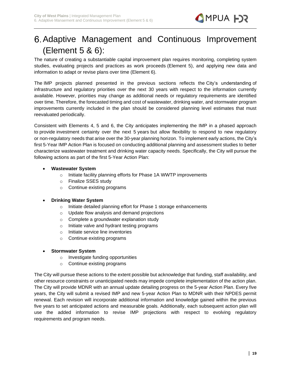## <span id="page-20-0"></span>Adaptive Management and Continuous Improvement (Element 5 & 6):

The nature of creating a substantiable capital improvement plan requires monitoring, completing system studies, evaluating projects and practices as work proceeds (Element 5), and applying new data and information to adapt or revise plans over time (Element 6).

The IMP projects planned presented in the previous sections reflects the City's understanding of infrastructure and regulatory priorities over the next 30 years with respect to the information currently available. However, priorities may change as additional needs or regulatory requirements are identified over time. Therefore, the forecasted timing and cost of wastewater, drinking water, and stormwater program improvements currently included in the plan should be considered planning level estimates that must reevaluated periodically.

Consistent with Elements 4, 5 and 6, the City anticipates implementing the IMP in a phased approach to provide investment certainty over the next 5 years but allow flexibility to respond to new regulatory or non-regulatory needs that arise over the 30-year planning horizon. To implement early actions, the City's first 5-Year IMP Action Plan is focused on conducting additional planning and assessment studies to better characterize wastewater treatment and drinking water capacity needs. Specifically, the City will pursue the following actions as part of the first 5-Year Action Plan:

#### • **Wastewater System**

- o Initiate facility planning efforts for Phase 1A WWTP improvements
- o Finalize SSES study
- o Continue existing programs

#### • **Drinking Water System**

- o Initiate detailed planning effort for Phase 1 storage enhancements
- o Update flow analysis and demand projections
- o Complete a groundwater explanation study
- o Initiate valve and hydrant testing programs
- o Initiate service line inventories
- o Continue existing programs

#### • **Stormwater System**

- o Investigate funding opportunities
- o Continue existing programs

The City will pursue these actions to the extent possible but acknowledge that funding, staff availability, and other resource constraints or unanticipated needs may impede complete implementation of the action plan. The City will provide MDNR with an annual update detailing progress on the 5-year Action Plan. Every five years, the City will submit a revised IMP and new 5-year Action Plan to MDNR with their NPDES permit renewal. Each revision will incorporate additional information and knowledge gained within the previous five years to set anticipated actions and measurable goals. Additionally, each subsequent action plan will use the added information to revise IMP projections with respect to evolving regulatory requirements and program needs.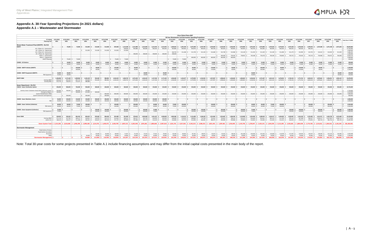#### **Appendix A. 30-Year Spending Projections (in 2021 dollars) Appendix A.1 – Wastewater and Stormwater**

|                                                                                                                                |                         |              |                       |                                           |            |                         |                       |                  |                |            |             |                               |                           |                     | <b>City of West Plains IMP</b> |                                                        |                |                               |                        |                       |                        |                                                                                                                                                                                                                                |                                              |                |                  |              |                                                                      |              |                     |                 |                        |                                          |
|--------------------------------------------------------------------------------------------------------------------------------|-------------------------|--------------|-----------------------|-------------------------------------------|------------|-------------------------|-----------------------|------------------|----------------|------------|-------------|-------------------------------|---------------------------|---------------------|--------------------------------|--------------------------------------------------------|----------------|-------------------------------|------------------------|-----------------------|------------------------|--------------------------------------------------------------------------------------------------------------------------------------------------------------------------------------------------------------------------------|----------------------------------------------|----------------|------------------|--------------|----------------------------------------------------------------------|--------------|---------------------|-----------------|------------------------|------------------------------------------|
|                                                                                                                                |                         |              |                       |                                           |            |                         |                       |                  |                |            |             |                               |                           |                     |                                | 30-Year Wastewater and Stormwater Spending Projections |                |                               |                        |                       |                        |                                                                                                                                                                                                                                |                                              |                |                  |              |                                                                      |              |                     |                 |                        |                                          |
|                                                                                                                                | FY Ending 3/31/2022     |              | 12/31/2022 12/31/2023 | 12/31/2024                                | 12/31/2025 |                         | 12/31/2026 12/31/2027 |                  | 12/31/2028     | 12/31/2029 |             | 12/31/2030 12/31/2031         | 12/31/2032                | 12/31/2033          | 12/31/2034                     | 12/31/2035                                             | 12/31/2036     | 12/31/2037                    |                        | 12/31/2038 12/31/2039 | 12/31/2040             | 12/31/2041                                                                                                                                                                                                                     | 12/31/2042                                   | 12/31/2043     |                  |              | 12/31/2044   12/31/2045   12/31/2046                                 | 12/31/2047   | 12/31/2048          |                 |                        | 12/31/2049 12/31/2050 Total thru FY 2050 |
| <b>Planning Year</b>                                                                                                           | 2021                    | 2022         | 2023                  | 2024                                      | 2025       |                         | 2026                  | 2027             | 2028           | 2029       | 2030        | 2031                          | 2032                      | 2033                | 2034                           | 2035                                                   | 2036           | 2037                          | 2038                   | 2039                  | 2040                   | 2041                                                                                                                                                                                                                           | 2042                                         | 2043           | 2044             | 2045         | 2046                                                                 | 2047         | 2048                | 2049            | 2050                   |                                          |
| Waste Water Treatment Plant (WWTP) - Div 913                                                                                   |                         |              |                       |                                           |            |                         |                       |                  |                |            |             |                               |                           |                     |                                |                                                        |                |                               |                        |                       |                        |                                                                                                                                                                                                                                |                                              |                |                  |              |                                                                      |              |                     |                 |                        |                                          |
|                                                                                                                                |                         | 75,000       |                       | 75,000 \$<br>512,000                      |            | $512,000$ S             | 512,000               | 587.000 S        | $1,115,500$ \$ | 1,211,980  |             | $1,212,690$ \$ $1,212,243$ \$ | $1,212,645$ \$            |                     |                                | $1,469,633$ \$ $1,291,230$ \$ $1,675,598$ \$           |                | $1,676,748$ \$ $1,676,658$ \$ | 2,120,350 \$           |                       | 2,436,405 \$ 1,974,985 |                                                                                                                                                                                                                                | $1,975,220$ \$ $1,974,080$ \$ $1,976,565$ \$ |                | 1,974,645 \$     |              | $1,975,358$ $\vert$ \$ $1,976,658$ $\vert$ \$ $1,978,545$ $\vert$ \$ |              | 1,072,380 \$        | 1,071,108 \$    | 1,071,640 \$           | 39,605,860                               |
| Alt. 2 Phase 1A - Construction                                                                                                 |                         |              |                       |                                           |            |                         |                       |                  | 528,500        | 903,980    | $904.690$ S | $904.243$ S                   | $904.645$ \$              | 903.883             | $904.963$ \$                   | 903,870 \$                                             | 904.620        | $904.190$ S                   | $903.603$ \$           | 903.843               | 903.903                | $903.783$ \$                                                                                                                                                                                                                   | $903.483$ S                                  | $904,995$ \$   | $904,305$ \$     | 904.435      | $904.363$ \$                                                         | 906.10       |                     |                 |                        | $\frac{1}{2}$ 17,710,395                 |
| Alt. 2 Phase 1A - Engineerin                                                                                                   |                         |              |                       | 512,000                                   |            | 512,000 S               | 512,000 S             | $512.000$ S      | 512,000        |            |             |                               |                           |                     |                                |                                                        |                |                               |                        |                       |                        |                                                                                                                                                                                                                                |                                              |                |                  |              |                                                                      |              |                     |                 |                        | 2.560.000                                |
| Alt. 2 Phase 1B - Construction                                                                                                 |                         |              |                       |                                           |            |                         |                       |                  |                |            |             |                               |                           | 182,750   9         | $311.268$ S                    | $311.728$ S                                            | 312.128        | $312.468$ S                   | $312.748$ S            | $312.968$ \$          | 312.128                | $311.250$ S                                                                                                                                                                                                                    | $311.320$ S                                  | $311.330$ S    | 311.280 S        | $311.170$ S  | $312.993$ \$                                                         | $312,733$ \$ | $312,413$ \$        | 312,033         | $311.593$ S            | 5.486.295                                |
| Alt. 2 Phase 1B - Engineering                                                                                                  |                         |              |                       |                                           |            |                         |                       |                  |                | 308,000    | 308,000 \$  | 308,000 \$                    | $308,000$ $\mid$ \$       | 308,000             |                                |                                                        |                |                               |                        |                       |                        |                                                                                                                                                                                                                                |                                              |                |                  |              |                                                                      |              |                     |                 |                        | 1.540.000                                |
| Phase 2 - Construction                                                                                                         |                         |              |                       |                                           |            |                         |                       |                  |                |            |             |                               |                           |                     |                                |                                                        |                |                               | 444,000                | 759.595               | 758,955 S              |                                                                                                                                                                                                                                | 760,188 \$759,278 \$760,240 \$               |                | 759,060 S        | 759.753 S    | 759.303 \$                                                           | 759.710 S    | 759.968 S           | 759,075 \$      | 760,048 S              | 9.559.170                                |
| Phase 2 - Engineerin                                                                                                           |                         |              |                       |                                           |            |                         |                       |                  |                |            |             |                               |                           |                     |                                | 460,000                                                | 460,000        | 460,000 S                     | 460,000 \$             | 460,000               |                        |                                                                                                                                                                                                                                |                                              |                |                  |              |                                                                      |              |                     |                 |                        | 2,300,000                                |
| <b>WWTP Planning</b>                                                                                                           |                         | 75,000 \$    | 75,000                |                                           |            |                         |                       | 75,000 S         | 75,000         |            |             |                               |                           | 75,000              | 75,000                         |                                                        |                |                               |                        |                       |                        |                                                                                                                                                                                                                                |                                              |                |                  |              |                                                                      |              |                     |                 |                        | 450,000                                  |
| 154400 - Lift Stations                                                                                                         |                         | 10,000       |                       | $10,000$   \$<br>10,000                   |            | $10,000$   \$           | 10,000                | 10,000           | 10,000         | 10,000     | 10,000      | 15,000                        | $15,000$   :              | 15,000              | $15,000$ :                     | 15,000                                                 | 15,000         | $15,000$   9                  | 15,000                 | 15,000                | 15,000                 | $15,000$ $\frac{2}{3}$                                                                                                                                                                                                         | $15,000$ \$                                  | 15,000         | 15,000           | 15,000       | $15,000$ \$                                                          | 15,000       | 15,000              | 15,000          | $15,000$ $\frac{1}{5}$ | 390,000                                  |
|                                                                                                                                |                         | 10,000       |                       | $10,000$ \$<br>$10,000$   \$              |            | $10,000$   \$           | $10,000$              | $10,000$   \$    | 10,000         | 10,000     | 10,000      | $15,000$   9                  | $15,000$   \$             | 15,000              | $15,000$   !                   | $15,000$                                               | 15,000         | $15,000$   9                  | $15,000$ $\frac{1}{5}$ | 15,000                | 15,000                 | $15,000$   \$                                                                                                                                                                                                                  | $15,000$ $\mid$ \$                           | $15,000$   \$  | $15,000$   \$    | $15,000$   : | 15,000                                                               | 15,000       | 15,000              | 15,000          | $15,000$ $\frac{1}{5}$ | 390,000                                  |
|                                                                                                                                |                         |              |                       |                                           |            |                         |                       |                  |                |            |             |                               |                           |                     |                                |                                                        |                |                               |                        |                       |                        |                                                                                                                                                                                                                                |                                              |                |                  |              |                                                                      |              |                     |                 |                        |                                          |
| 154300 - WWTP Vehicles (WWTP)                                                                                                  |                         |              | 160,000               |                                           |            | 40,000                  |                       | 170,000          |                | 40,000     |             |                               |                           | 160,000             |                                | 40,000                                                 |                | 170,000                       |                        | 40,000                |                        |                                                                                                                                                                                                                                | 160,000                                      |                | 40,000           |              | 170,000                                                              |              | 40,000              |                 |                        | 1,230,000                                |
|                                                                                                                                |                         |              | 160,000               |                                           |            | 40,000                  |                       | 170,000          |                | 40,000     |             |                               |                           | 160,000             |                                | 40,000                                                 |                | 170,000                       |                        | 40,000                |                        |                                                                                                                                                                                                                                | 160,000                                      |                | 40,000           |              | 170,000                                                              |              | 40,000              |                 |                        | 1,230,000                                |
| 154400 - WWTP Equipment (WWTP)                                                                                                 | 10,000                  | 40,000       |                       |                                           |            |                         |                       |                  |                |            | 60,000      |                               | 40,000                    |                     |                                |                                                        |                |                               |                        |                       |                        | 40,000                                                                                                                                                                                                                         |                                              |                |                  |              |                                                                      |              |                     |                 | $60,000$ \$            | 250,000                                  |
| <b>TBD Equipment</b>                                                                                                           | 10,000                  | 40,000       |                       |                                           |            |                         |                       |                  |                |            | 60,000      |                               | 40,000                    |                     |                                |                                                        |                |                               |                        |                       |                        | 40,000                                                                                                                                                                                                                         |                                              |                |                  |              |                                                                      |              |                     |                 | $60,000$   \$          | 250,000                                  |
|                                                                                                                                |                         |              |                       |                                           |            |                         |                       |                  |                |            |             |                               |                           |                     |                                |                                                        |                |                               |                        |                       |                        |                                                                                                                                                                                                                                |                                              |                |                  |              |                                                                      |              |                     |                 |                        |                                          |
| WWTP O&M                                                                                                                       | 1,148,286               | 1,171,340    | 1,409,964             | 1,423,149                                 |            | $952,409$ \$            | 980.981               | $1,010,410$ \$   | 1,040,723      | 1,071,944  | 1,104,103   | 1,137,226 \$                  | $1,171,343$ \$            | 1,206,483           | $1,242,677$ \$                 | 1,279,958                                              | 1,318,356      | 1,357,907                     | 1,398,644              | 1,440,604             | 1,483,822              | 1,528,336                                                                                                                                                                                                                      | 1,574,187                                    | $1,621,412$ \$ | 1,670,054        | 1,720,156 \$ | 1,771,761 \$                                                         | 1,824,914    | 1,879,661           | 1,936,051       | 1,994,132              | 41,870,992                               |
| Existing O&M                                                                                                                   | 634,510                 | 655.330      | 897.737               | 924,669                                   |            | $952.409$ S             | 980.981               | $1.010.410$ S    | 1,040,723      | 1,071,944  | 1,104,103   | $1,137,226$ \$                | $1,171,343$ $\frac{1}{5}$ | 1,206,483           |                                | $1,242,677$ \$ $1,279,958$ \$                          | 1,318,356      | $1,357,907$ \$                | 1,398,644              | 1,440,604             | 1,483,822              | $1,528,336$ \$                                                                                                                                                                                                                 | $1,574,187$ \$                               | $1,621,412$ \$ | $1,670,054$   \$ | 1,720,156 \$ | $1,771,761$ \$                                                       | 1,824,914    | 1.879.661           | 1.936.051       | $1.994.132$ S          | 39.830.499                               |
| Existing Debt   \$                                                                                                             | $513,776$ $\frac{1}{5}$ | $516,010$ \$ |                       | $512,227$ \$<br>498,480                   |            |                         |                       |                  |                |            |             |                               |                           |                     |                                |                                                        |                |                               |                        |                       |                        |                                                                                                                                                                                                                                |                                              |                |                  |              |                                                                      |              |                     |                 |                        |                                          |
|                                                                                                                                |                         |              |                       |                                           |            |                         |                       |                  |                |            |             |                               |                           |                     |                                |                                                        |                |                               |                        |                       |                        |                                                                                                                                                                                                                                |                                              |                |                  |              |                                                                      |              |                     |                 |                        |                                          |
| Sewer Department - Div 912<br>156010 - Sewer Distribution System                                                               | 450,000                 | 960,000      |                       | 765,000 \$<br>950,000                     |            | 400,000 S               | 600,000               | 400,000 S        | 400,000        | 400,000    | 400,000 \$  | 250,000 \$                    | 250,000 \$                | 250,000             | 250,000 \$                     | 250,000 \$                                             | 250,000        | 250,000 \$                    | 250,000 \$             | 250,000               | 250,000                | 250,000 \$                                                                                                                                                                                                                     | 250,000 \$                                   | 250,000 \$     | 250,000 \$       | 250,000      | 250,000 \$                                                           | 250,000      | 250,000             | 250,000         |                        | 250,000 \$ 10,725,000                    |
|                                                                                                                                |                         |              |                       |                                           |            |                         |                       |                  |                |            |             |                               |                           |                     |                                |                                                        |                |                               |                        |                       |                        |                                                                                                                                                                                                                                |                                              |                |                  |              |                                                                      |              |                     |                 |                        |                                          |
| Sanitary Sewer Evaluation Study (SSES) Collection system                                                                       | 350,000 S               | 760,000      |                       | $465,000$   \$<br>135,000                 |            |                         |                       |                  |                |            |             |                               |                           |                     |                                |                                                        |                |                               |                        |                       |                        |                                                                                                                                                                                                                                |                                              |                |                  |              |                                                                      |              |                     |                 |                        | 1,710,000                                |
| Emergency Repairs   \$                                                                                                         | 100,000                 |              |                       | $ \$$ 300,000 $ \$$ 615,000 $ \$$ 400,000 |            |                         |                       |                  |                |            |             |                               |                           |                     |                                |                                                        |                |                               |                        |                       |                        |                                                                                                                                                                                                                                |                                              |                |                  |              |                                                                      |              |                     |                 |                        | 1,415,000                                |
| <b>System Rehabilitation (TBD)</b>                                                                                             |                         |              |                       |                                           |            |                         | 400,000               | $400,000$ \$     | 400,000        | 400,000    | 400,000 \$  | 250,000 \$                    | 250,000 \$                | $250,000$ $\mid$ \$ | $250,000$ \$                   | 250,000 \$                                             | 250,000        | 250,000 \$                    | 250,000 \$             | 250,000 \$            | 250,000 \$             | 250,000 \$                                                                                                                                                                                                                     | 250,000 \$                                   | 250,000 \$     | 250,000 \$       | 250,000      | $250,000$ \$                                                         | 250,000      | $250,000$ $\mid$ \$ | 250,000         | 250,000 \$             | 7,000,000                                |
| System Extensions and Expansion                                                                                                |                         | 200,000      |                       | 200,000                                   |            |                         | 200,000               |                  |                |            |             |                               |                           |                     |                                |                                                        |                |                               |                        |                       |                        |                                                                                                                                                                                                                                |                                              |                |                  |              |                                                                      |              |                     |                 |                        | 600,000                                  |
| 156300 - Sewer Manholes, Covers                                                                                                | $50,000$ \$             | 150,000      |                       | $150,000$ S<br>150,000                    |            | $300,000$ $\sqrt{5}$    | 300,000               | 200,000 S        | 200,000        | 100,000    | 100,000     | 100,000 \$                    | 100,000                   |                     | $-15$                          |                                                        |                |                               |                        | .                     |                        | $-15$                                                                                                                                                                                                                          |                                              |                |                  |              | $-15$                                                                |              |                     |                 |                        | 1,900,000<br>$-15$                       |
| TBD \$                                                                                                                         | $50,000$ :              | 150,000      |                       | $150,000$ S<br>150,000 S                  |            | $300,000$ $\frac{1}{5}$ | 300,000               | $200,000$ \$     | 200,000        | 100,000    | 100,000     | $100,000$ $\mid$ 3            | 100,000                   |                     |                                |                                                        |                |                               |                        |                       |                        |                                                                                                                                                                                                                                |                                              |                |                  |              |                                                                      |              |                     |                 |                        | 1,900,000<br>l s                         |
|                                                                                                                                |                         |              |                       |                                           |            |                         |                       |                  |                |            |             |                               |                           |                     |                                |                                                        |                |                               |                        |                       |                        |                                                                                                                                                                                                                                |                                              |                |                  |              |                                                                      |              |                     |                 |                        |                                          |
| 156800 - Sewer Vehicles (Collection                                                                                            | 40,000                  | 60,000       |                       | 75,000 \$<br>100,000                      |            |                         |                       | 130,000          |                | 450,000    |             | 40,000                        | $60,000$ $\frac{1}{5}$    | 75,000              | 100,000                        |                                                        |                | 130,000                       |                        | 450,000               |                        | 40,000                                                                                                                                                                                                                         | 60,000                                       | 75,000         | 100,000          |              |                                                                      | 130,000      |                     | 450,000         |                        | 2,565,000                                |
| TBD Vehicle                                                                                                                    | $40,000$ $\mid$ \$      | $60,000$ \$  |                       | 100,000<br>75,000 \$                      |            |                         |                       | 130,000          |                | 450,000    |             | 40,000                        | $60.000$ S                | 75,000 \$           | 100,000                        |                                                        |                | 130,000                       |                        | 450,000               |                        | 40,000                                                                                                                                                                                                                         | $60,000$ $\frac{2}{5}$                       | 75,000 \$      | 100,000          |              |                                                                      | 130,000      |                     | 450,000         |                        | 2,565,000                                |
| 156400 - Sewer Equipment (Collection                                                                                           | 75,000                  |              |                       |                                           |            | $130,000$ S             | 140,000               |                  | 350,000        |            | 100,000     | 75,000                        |                           |                     |                                | 130,000                                                | 140,000        |                               | 350,000<br>- IS        |                       | 100,000                | 75,000                                                                                                                                                                                                                         |                                              |                |                  | $130,000$ :  | 140,000                                                              |              | 350,000             |                 | $100,000$ $\sqrt{5}$   | 2,385,000                                |
| <b>TBD Equipment</b>                                                                                                           | 75,000                  |              |                       |                                           |            | $130.000$ S             | 140,000               |                  | 350,000        |            | 100,000     | 75,000                        |                           |                     |                                | $130,000$                                              | 140,000        |                               | 350,000                |                       | 100,000                | 75,000                                                                                                                                                                                                                         |                                              |                |                  | 130,000      | 140,000                                                              |              | 350,000             |                 | 100,000 S              | 2.385.000                                |
|                                                                                                                                |                         |              |                       |                                           |            |                         |                       |                  |                |            |             |                               |                           |                     |                                |                                                        |                |                               |                        |                       |                        |                                                                                                                                                                                                                                |                                              |                |                  |              |                                                                      |              |                     |                 |                        |                                          |
|                                                                                                                                |                         |              |                       |                                           |            |                         |                       |                  |                |            |             |                               |                           |                     |                                |                                                        |                |                               |                        |                       |                        |                                                                                                                                                                                                                                |                                              |                |                  |              |                                                                      |              |                     |                 |                        |                                          |
| Sewer O&M                                                                                                                      | 539.920                 | 550.320      |                       | $801.433$ $\pm$<br>845.032 \$             |            | 870.383 S               | 896,494 \$            | $923.389$ S      | 951,090        | 979,623    | 1,005,068   | $1.031.197$ S                 | $1.058.030$ S             | $1.085.586$ S       |                                | $1,118,153$ \$ $1,151,698$ \$                          | $1.186.249$ S  | $1,221,836$ \$                | $1.253.687$ \$         | 1.286.396 \$          | 1.319.989              | 1.354,490 \$                                                                                                                                                                                                                   | 1.389.924 S                                  | $1,426,317$ \$ | $1.463.695$ \$   | 1.502.087    | 1,541,520 \$                                                         | 1,576,282    | $1,611,971$ \$      |                 |                        | 1,642,758 \$1,674,468 \$35,259,084       |
| Existing O&M                                                                                                                   | 371.710                 | 357.783      |                       | $490.127$ S<br>504.831                    |            | $519.976$ S             | 535.575   \$          | 551.642          | 568,191        | 585.237    | 602.794     | 620,878                       | $639.504$ S               | 658,690             | 678,450                        | 698,804                                                | 719,768        | $741.361$ S                   | 763,602                | 786.510               | 810.105                | 834,408                                                                                                                                                                                                                        | 859,441                                      | 885,224        | 911.780          | 939.134      | 967,308                                                              | 996.327      | 1.026.217           | $1.057.003$   9 | $1.088.714$ S          | 21,771,094                               |
| Admin Fee S                                                                                                                    | $168.210$ S             | $192.537$ S  |                       | 311.306 5<br>340.201 S                    |            | 350,407 S               | $360.919$ \$          | $371.747$ S      | 382,899 \$     | 394,386    | $402.274$ S | $410.319$ S                   | 418.526 S                 | 426,896   9         | $439.703$ S                    | 452.894 S                                              | 466,481        | $480.475$ S                   | 490.085                | 499,886               | 509.884                | 520.082                                                                                                                                                                                                                        | $530.483$ S                                  | $541.093$ S    | $551.915$ S      | $562.953$ S  | $574.212$ S                                                          | 579.955   9  | $585.754$ S         | 585.754 S       |                        | 585.754 S 13.487.990                     |
| Sewer System Total S 2,313,206 S 3,016,660 S 3,446,396 S 3,990,180 S 3,214,791 S 3,439,475 S 3,430,799 S 4,067,313 S 4,263,548 |                         |              |                       |                                           |            |                         |                       |                  |                |            |             |                               |                           |                     |                                |                                                        |                |                               |                        |                       |                        | S 3.991.861 S 3.860.666 S 3.907.018 S 4.261.701 S 4.017.061 S 4.542.253 S 4.586.353 S 4.821.401 S 5.387.681 S 5.918.405 S 5.143.796 S 5.278.047 S 5.423.191 S 5.364.294 S 5.513.395 S 5.513.395 S 5.552.601 S 5.864.939 S 5.77 |                                              |                |                  |              |                                                                      |              |                     |                 |                        |                                          |
|                                                                                                                                |                         |              |                       |                                           |            |                         |                       |                  |                |            |             |                               |                           |                     |                                |                                                        |                |                               |                        |                       |                        |                                                                                                                                                                                                                                |                                              |                |                  |              |                                                                      |              |                     |                 |                        |                                          |
| <b>Stormwater Management</b>                                                                                                   |                         |              |                       |                                           |            |                         |                       |                  |                |            |             |                               |                           |                     |                                |                                                        |                |                               |                        |                       |                        |                                                                                                                                                                                                                                |                                              |                |                  |              |                                                                      |              |                     |                 |                        |                                          |
| Flood Control, Primary                                                                                                         |                         |              |                       |                                           |            |                         |                       |                  |                |            |             |                               |                           |                     |                                |                                                        |                |                               |                        |                       |                        |                                                                                                                                                                                                                                |                                              |                |                  |              |                                                                      |              |                     |                 |                        |                                          |
| Flood Control, Secondary                                                                                                       |                         |              |                       |                                           |            |                         |                       |                  |                |            |             |                               |                           |                     |                                |                                                        |                |                               |                        |                       |                        |                                                                                                                                                                                                                                |                                              |                |                  |              |                                                                      |              |                     |                 |                        |                                          |
| Personnel                                                                                                                      |                         |              |                       |                                           |            | 65,000   \$             | 66.950                | 68.959           | 71,027         | 73,158     | 75,353      | 77,613                        | 79,942                    | 82,340              | 84.810                         | 87,355                                                 | 89,975         | $92,674$   \$                 | 95,455                 | 98,318                | 101,268                | 104,306                                                                                                                                                                                                                        | 107.435                                      | $110.658$      | 113.978 5        | 117.397      | $120.919$ S                                                          | 124.547      | 128,283             | $132,132$   9   | $136,096$ \$           | 2,505,948                                |
| 0&M                                                                                                                            |                         |              |                       | 50,000                                    |            | $50,000$ $\frac{1}{5}$  | 50,000                | 50,000           | 50.000         | 50,000     | 50,000      | 50,000                        | 50,000                    | 50,000              | 50,000                         | 50,000                                                 | 50,000         | 50,000                        | 50,000                 | 50,000                | 50,000                 | 50,000                                                                                                                                                                                                                         | 50,000                                       | 50,000         | 50,000           | 50,000       | 50,000                                                               | 50,000       | 50,000              | 50,000          | $50,000$   \$          | 1,350,000                                |
| <b>Stormwater Management</b>                                                                                                   |                         |              | - 15<br>$\sim$        | $50.000$ S                                |            | $115.000$ \ \$          | 116,950               | $118.959$ $\leq$ | 121.027        | 123.158    | 125.353     | $127.613$ S                   | $129.942$ S               | $132.340$ $\pm$     | 134.810 \$                     | $137.355$ $\pm$                                        | $139.975$ \ \$ | $142.674$ \$                  | $145.455$ \$           | $148.318$ \$          | 151.268 !              | 154,306                                                                                                                                                                                                                        | $157.435$ $\pm$                              | 160.658        | $163.978$ \$     | 167.397      | $170.919$ \$                                                         | 174.547      | $178.283$ \$        | $182.132$ S     | $186.096$ \$           | 3.855.948                                |

Note: Total 30-year costs for some projects presented in Table A.1 include financing assumptions and may differ from the initial capital costs presented in the main body of the report.

# **CHPUA HOR**